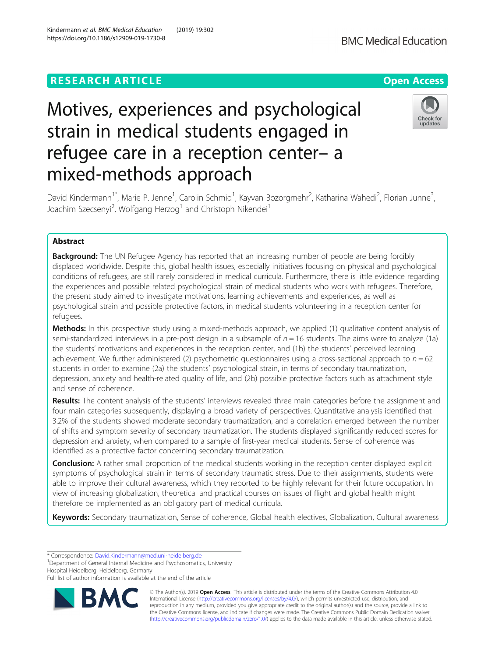# **RESEARCH ARTICLE Example 2018 12:30 THE Open Access**

# Motives, experiences and psychological strain in medical students engaged in refugee care in a reception center– a mixed-methods approach

David Kindermann<sup>1\*</sup>, Marie P. Jenne<sup>1</sup>, Carolin Schmid<sup>1</sup>, Kayvan Bozorgmehr<sup>2</sup>, Katharina Wahedi<sup>2</sup>, Florian Junne<sup>3</sup> , Joachim Szecsenyi<sup>2</sup>, Wolfgang Herzog<sup>1</sup> and Christoph Nikendei<sup>1</sup>

# Abstract

**Background:** The UN Refugee Agency has reported that an increasing number of people are being forcibly displaced worldwide. Despite this, global health issues, especially initiatives focusing on physical and psychological conditions of refugees, are still rarely considered in medical curricula. Furthermore, there is little evidence regarding the experiences and possible related psychological strain of medical students who work with refugees. Therefore, the present study aimed to investigate motivations, learning achievements and experiences, as well as psychological strain and possible protective factors, in medical students volunteering in a reception center for refugees.

Methods: In this prospective study using a mixed-methods approach, we applied (1) qualitative content analysis of semi-standardized interviews in a pre-post design in a subsample of  $n = 16$  students. The aims were to analyze (1a) the students' motivations and experiences in the reception center, and (1b) the students' perceived learning achievement. We further administered (2) psychometric questionnaires using a cross-sectional approach to  $n = 62$ students in order to examine (2a) the students' psychological strain, in terms of secondary traumatization, depression, anxiety and health-related quality of life, and (2b) possible protective factors such as attachment style and sense of coherence.

Results: The content analysis of the students' interviews revealed three main categories before the assignment and four main categories subsequently, displaying a broad variety of perspectives. Quantitative analysis identified that 3.2% of the students showed moderate secondary traumatization, and a correlation emerged between the number of shifts and symptom severity of secondary traumatization. The students displayed significantly reduced scores for depression and anxiety, when compared to a sample of first-year medical students. Sense of coherence was identified as a protective factor concerning secondary traumatization.

**Conclusion:** A rather small proportion of the medical students working in the reception center displayed explicit symptoms of psychological strain in terms of secondary traumatic stress. Due to their assignments, students were able to improve their cultural awareness, which they reported to be highly relevant for their future occupation. In view of increasing globalization, theoretical and practical courses on issues of flight and global health might therefore be implemented as an obligatory part of medical curricula.

Keywords: Secondary traumatization, Sense of coherence, Global health electives, Globalization, Cultural awareness

\* Correspondence: [David.Kindermann@med.uni-heidelberg.de](mailto:David.Kindermann@med.uni-heidelberg.de) <sup>1</sup>

<sup>1</sup>Department of General Internal Medicine and Psychosomatics, University Hospital Heidelberg, Heidelberg, Germany

Full list of author information is available at the end of the article





© The Author(s). 2019 Open Access This article is distributed under the terms of the Creative Commons Attribution 4.0 International License [\(http://creativecommons.org/licenses/by/4.0/](http://creativecommons.org/licenses/by/4.0/)), which permits unrestricted use, distribution, and reproduction in any medium, provided you give appropriate credit to the original author(s) and the source, provide a link to the Creative Commons license, and indicate if changes were made. The Creative Commons Public Domain Dedication waiver [\(http://creativecommons.org/publicdomain/zero/1.0/](http://creativecommons.org/publicdomain/zero/1.0/)) applies to the data made available in this article, unless otherwise stated.



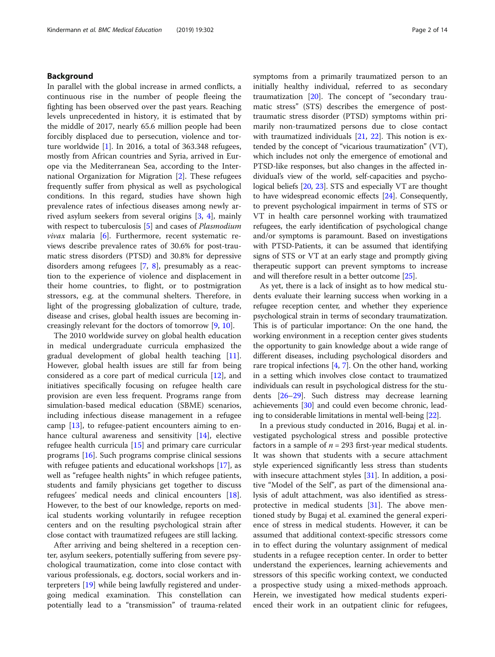# Background

In parallel with the global increase in armed conflicts, a continuous rise in the number of people fleeing the fighting has been observed over the past years. Reaching levels unprecedented in history, it is estimated that by the middle of 2017, nearly 65.6 million people had been forcibly displaced due to persecution, violence and torture worldwide  $[1]$  $[1]$ . In 2016, a total of 363.348 refugees, mostly from African countries and Syria, arrived in Europe via the Mediterranean Sea, according to the International Organization for Migration [[2](#page-12-0)]. These refugees frequently suffer from physical as well as psychological conditions. In this regard, studies have shown high prevalence rates of infectious diseases among newly arrived asylum seekers from several origins [[3,](#page-12-0) [4\]](#page-12-0), mainly with respect to tuberculosis [[5\]](#page-12-0) and cases of *Plasmodium vivax* malaria  $[6]$  $[6]$ . Furthermore, recent systematic reviews describe prevalence rates of 30.6% for post-traumatic stress disorders (PTSD) and 30.8% for depressive disorders among refugees [[7](#page-12-0), [8\]](#page-12-0), presumably as a reaction to the experience of violence and displacement in their home countries, to flight, or to postmigration stressors, e.g. at the communal shelters. Therefore, in light of the progressing globalization of culture, trade, disease and crises, global health issues are becoming increasingly relevant for the doctors of tomorrow [\[9](#page-12-0), [10](#page-12-0)].

The 2010 worldwide survey on global health education in medical undergraduate curricula emphasized the gradual development of global health teaching [\[11](#page-12-0)]. However, global health issues are still far from being considered as a core part of medical curricula [[12](#page-12-0)], and initiatives specifically focusing on refugee health care provision are even less frequent. Programs range from simulation-based medical education (SBME) scenarios, including infectious disease management in a refugee camp [\[13\]](#page-12-0), to refugee-patient encounters aiming to en-hance cultural awareness and sensitivity [\[14](#page-12-0)], elective refugee health curricula [[15](#page-12-0)] and primary care curricular programs [[16\]](#page-12-0). Such programs comprise clinical sessions with refugee patients and educational workshops [\[17\]](#page-12-0), as well as "refugee health nights" in which refugee patients, students and family physicians get together to discuss refugees' medical needs and clinical encounters [\[18](#page-12-0)]. However, to the best of our knowledge, reports on medical students working voluntarily in refugee reception centers and on the resulting psychological strain after close contact with traumatized refugees are still lacking.

After arriving and being sheltered in a reception center, asylum seekers, potentially suffering from severe psychological traumatization, come into close contact with various professionals, e.g. doctors, social workers and interpreters [\[19](#page-12-0)] while being lawfully registered and undergoing medical examination. This constellation can potentially lead to a "transmission" of trauma-related symptoms from a primarily traumatized person to an initially healthy individual, referred to as secondary traumatization [[20](#page-12-0)]. The concept of "secondary traumatic stress" (STS) describes the emergence of posttraumatic stress disorder (PTSD) symptoms within primarily non-traumatized persons due to close contact with traumatized individuals [\[21](#page-12-0), [22\]](#page-12-0). This notion is extended by the concept of "vicarious traumatization" (VT), which includes not only the emergence of emotional and PTSD-like responses, but also changes in the affected individual's view of the world, self-capacities and psychological beliefs [[20](#page-12-0), [23](#page-12-0)]. STS and especially VT are thought to have widespread economic effects [\[24\]](#page-12-0). Consequently, to prevent psychological impairment in terms of STS or VT in health care personnel working with traumatized refugees, the early identification of psychological change and/or symptoms is paramount. Based on investigations with PTSD-Patients, it can be assumed that identifying signs of STS or VT at an early stage and promptly giving therapeutic support can prevent symptoms to increase and will therefore result in a better outcome [\[25\]](#page-12-0).

As yet, there is a lack of insight as to how medical students evaluate their learning success when working in a refugee reception center, and whether they experience psychological strain in terms of secondary traumatization. This is of particular importance: On the one hand, the working environment in a reception center gives students the opportunity to gain knowledge about a wide range of different diseases, including psychological disorders and rare tropical infections [\[4,](#page-12-0) [7\]](#page-12-0). On the other hand, working in a setting which involves close contact to traumatized individuals can result in psychological distress for the students [\[26](#page-12-0)–[29](#page-12-0)]. Such distress may decrease learning achievements [\[30](#page-12-0)] and could even become chronic, leading to considerable limitations in mental well-being [[22](#page-12-0)].

In a previous study conducted in 2016, Bugaj et al. investigated psychological stress and possible protective factors in a sample of  $n = 293$  first-year medical students. It was shown that students with a secure attachment style experienced significantly less stress than students with insecure attachment styles [\[31\]](#page-12-0). In addition, a positive "Model of the Self", as part of the dimensional analysis of adult attachment, was also identified as stressprotective in medical students [\[31](#page-12-0)]. The above mentioned study by Bugaj et al. examined the general experience of stress in medical students. However, it can be assumed that additional context-specific stressors come in to effect during the voluntary assignment of medical students in a refugee reception center. In order to better understand the experiences, learning achievements and stressors of this specific working context, we conducted a prospective study using a mixed-methods approach. Herein, we investigated how medical students experienced their work in an outpatient clinic for refugees,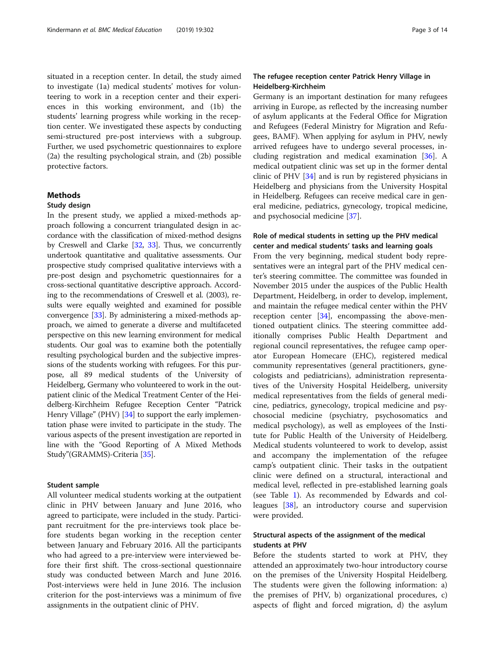situated in a reception center. In detail, the study aimed to investigate (1a) medical students' motives for volunteering to work in a reception center and their experiences in this working environment, and (1b) the students' learning progress while working in the reception center. We investigated these aspects by conducting semi-structured pre-post interviews with a subgroup. Further, we used psychometric questionnaires to explore (2a) the resulting psychological strain, and (2b) possible protective factors.

# Methods

## Study design

In the present study, we applied a mixed-methods approach following a concurrent triangulated design in accordance with the classification of mixed-method designs by Creswell and Clarke [[32](#page-12-0), [33](#page-12-0)]. Thus, we concurrently undertook quantitative and qualitative assessments. Our prospective study comprised qualitative interviews with a pre-post design and psychometric questionnaires for a cross-sectional quantitative descriptive approach. According to the recommendations of Creswell et al. (2003), results were equally weighted and examined for possible convergence [\[33\]](#page-12-0). By administering a mixed-methods approach, we aimed to generate a diverse and multifaceted perspective on this new learning environment for medical students. Our goal was to examine both the potentially resulting psychological burden and the subjective impressions of the students working with refugees. For this purpose, all 89 medical students of the University of Heidelberg, Germany who volunteered to work in the outpatient clinic of the Medical Treatment Center of the Heidelberg-Kirchheim Refugee Reception Center "Patrick Henry Village" (PHV) [[34\]](#page-12-0) to support the early implementation phase were invited to participate in the study. The various aspects of the present investigation are reported in line with the "Good Reporting of A Mixed Methods Study"(GRAMMS)-Criteria [\[35\]](#page-12-0).

#### Student sample

All volunteer medical students working at the outpatient clinic in PHV between January and June 2016, who agreed to participate, were included in the study. Participant recruitment for the pre-interviews took place before students began working in the reception center between January and February 2016. All the participants who had agreed to a pre-interview were interviewed before their first shift. The cross-sectional questionnaire study was conducted between March and June 2016. Post-interviews were held in June 2016. The inclusion criterion for the post-interviews was a minimum of five assignments in the outpatient clinic of PHV.

# The refugee reception center Patrick Henry Village in Heidelberg-Kirchheim

Germany is an important destination for many refugees arriving in Europe, as reflected by the increasing number of asylum applicants at the Federal Office for Migration and Refugees (Federal Ministry for Migration and Refugees, BAMF). When applying for asylum in PHV, newly arrived refugees have to undergo several processes, including registration and medical examination [[36\]](#page-12-0). A medical outpatient clinic was set up in the former dental clinic of PHV [[34](#page-12-0)] and is run by registered physicians in Heidelberg and physicians from the University Hospital in Heidelberg. Refugees can receive medical care in general medicine, pediatrics, gynecology, tropical medicine, and psychosocial medicine [[37\]](#page-12-0).

# Role of medical students in setting up the PHV medical center and medical students' tasks and learning goals

From the very beginning, medical student body representatives were an integral part of the PHV medical center's steering committee. The committee was founded in November 2015 under the auspices of the Public Health Department, Heidelberg, in order to develop, implement, and maintain the refugee medical center within the PHV reception center [[34\]](#page-12-0), encompassing the above-mentioned outpatient clinics. The steering committee additionally comprises Public Health Department and regional council representatives, the refugee camp operator European Homecare (EHC), registered medical community representatives (general practitioners, gynecologists and pediatricians), administration representatives of the University Hospital Heidelberg, university medical representatives from the fields of general medicine, pediatrics, gynecology, tropical medicine and psychosocial medicine (psychiatry, psychosomatics and medical psychology), as well as employees of the Institute for Public Health of the University of Heidelberg. Medical students volunteered to work to develop, assist and accompany the implementation of the refugee camp's outpatient clinic. Their tasks in the outpatient clinic were defined on a structural, interactional and medical level, reflected in pre-established learning goals (see Table [1](#page-3-0)). As recommended by Edwards and colleagues [[38](#page-12-0)], an introductory course and supervision were provided.

# Structural aspects of the assignment of the medical students at PHV

Before the students started to work at PHV, they attended an approximately two-hour introductory course on the premises of the University Hospital Heidelberg. The students were given the following information: a) the premises of PHV, b) organizational procedures, c) aspects of flight and forced migration, d) the asylum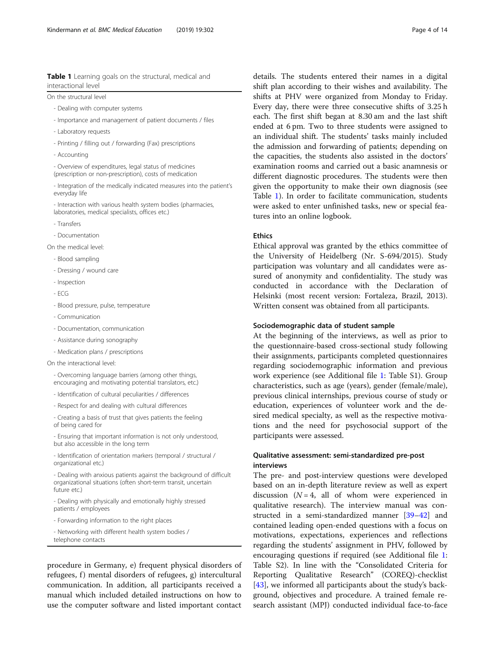## <span id="page-3-0"></span>Table 1 Learning goals on the structural, medical and interactional level

On the structural level

- Dealing with computer systems
- Importance and management of patient documents / files
- Laboratory requests
- Printing / filling out / forwarding (Fax) prescriptions
- Accounting

- Overview of expenditures, legal status of medicines (prescription or non-prescription), costs of medication

- Integration of the medically indicated measures into the patient's everyday life

- Interaction with various health system bodies (pharmacies, laboratories, medical specialists, offices etc.)

- Transfers
- Documentation

On the medical level:

- Blood sampling
- Dressing / wound care
- Inspection
- ECG
- Blood pressure, pulse, temperature
- Communication
- Documentation, communication
- Assistance during sonography
- Medication plans / prescriptions
- On the interactional level:
	- Overcoming language barriers (among other things, encouraging and motivating potential translators, etc.)
	- Identification of cultural peculiarities / differences
	- Respect for and dealing with cultural differences
	- Creating a basis of trust that gives patients the feeling of being cared for

- Ensuring that important information is not only understood, but also accessible in the long term

- Identification of orientation markers (temporal / structural / organizational etc.)

- Dealing with anxious patients against the background of difficult organizational situations (often short-term transit, uncertain future etc.)

- Dealing with physically and emotionally highly stressed patients / employees

- Forwarding information to the right places

- Networking with different health system bodies / telephone contacts

procedure in Germany, e) frequent physical disorders of refugees, f) mental disorders of refugees, g) intercultural communication. In addition, all participants received a manual which included detailed instructions on how to use the computer software and listed important contact

details. The students entered their names in a digital shift plan according to their wishes and availability. The shifts at PHV were organized from Monday to Friday. Every day, there were three consecutive shifts of 3.25 h each. The first shift began at 8.30 am and the last shift ended at 6 pm. Two to three students were assigned to an individual shift. The students' tasks mainly included the admission and forwarding of patients; depending on the capacities, the students also assisted in the doctors' examination rooms and carried out a basic anamnesis or different diagnostic procedures. The students were then given the opportunity to make their own diagnosis (see Table 1). In order to facilitate communication, students were asked to enter unfinished tasks, new or special features into an online logbook.

## Ethics

Ethical approval was granted by the ethics committee of the University of Heidelberg (Nr. S-694/2015). Study participation was voluntary and all candidates were assured of anonymity and confidentiality. The study was conducted in accordance with the Declaration of Helsinki (most recent version: Fortaleza, Brazil, 2013). Written consent was obtained from all participants.

#### Sociodemographic data of student sample

At the beginning of the interviews, as well as prior to the questionnaire-based cross-sectional study following their assignments, participants completed questionnaires regarding sociodemographic information and previous work experience (see Additional file [1](#page-11-0): Table S1). Group characteristics, such as age (years), gender (female/male), previous clinical internships, previous course of study or education, experiences of volunteer work and the desired medical specialty, as well as the respective motivations and the need for psychosocial support of the participants were assessed.

# Qualitative assessment: semi-standardized pre-post interviews

The pre- and post-interview questions were developed based on an in-depth literature review as well as expert discussion ( $N = 4$ , all of whom were experienced in qualitative research). The interview manual was constructed in a semi-standardized manner [[39](#page-12-0)–[42](#page-12-0)] and contained leading open-ended questions with a focus on motivations, expectations, experiences and reflections regarding the students' assignment in PHV, followed by encouraging questions if required (see Additional file [1](#page-11-0): Table S2). In line with the "Consolidated Criteria for Reporting Qualitative Research" (COREQ)-checklist [[43\]](#page-12-0), we informed all participants about the study's background, objectives and procedure. A trained female research assistant (MPJ) conducted individual face-to-face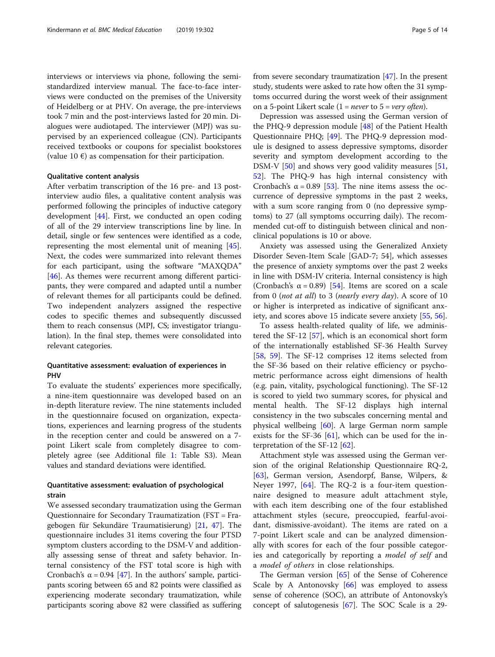interviews or interviews via phone, following the semistandardized interview manual. The face-to-face interviews were conducted on the premises of the University of Heidelberg or at PHV. On average, the pre-interviews took 7 min and the post-interviews lasted for 20 min. Dialogues were audiotaped. The interviewer (MPJ) was supervised by an experienced colleague (CN). Participants received textbooks or coupons for specialist bookstores (value 10  $\epsilon$ ) as compensation for their participation.

#### Qualitative content analysis

After verbatim transcription of the 16 pre- and 13 postinterview audio files, a qualitative content analysis was performed following the principles of inductive category development [[44\]](#page-12-0). First, we conducted an open coding of all of the 29 interview transcriptions line by line. In detail, single or few sentences were identified as a code, representing the most elemental unit of meaning [\[45](#page-12-0)]. Next, the codes were summarized into relevant themes for each participant, using the software "MAXQDA" [[46\]](#page-12-0). As themes were recurrent among different participants, they were compared and adapted until a number of relevant themes for all participants could be defined. Two independent analyzers assigned the respective codes to specific themes and subsequently discussed them to reach consensus (MPJ, CS; investigator triangulation). In the final step, themes were consolidated into relevant categories.

# Quantitative assessment: evaluation of experiences in PHV

To evaluate the students' experiences more specifically, a nine-item questionnaire was developed based on an in-depth literature review. The nine statements included in the questionnaire focused on organization, expectations, experiences and learning progress of the students in the reception center and could be answered on a 7 point Likert scale from completely disagree to completely agree (see Additional file [1](#page-11-0): Table S3). Mean values and standard deviations were identified.

# Quantitative assessment: evaluation of psychological strain

We assessed secondary traumatization using the German Questionnaire for Secondary Traumatization (FST = Fragebogen für Sekundäre Traumatisierung) [[21,](#page-12-0) [47](#page-12-0)]. The questionnaire includes 31 items covering the four PTSD symptom clusters according to the DSM-V and additionally assessing sense of threat and safety behavior. Internal consistency of the FST total score is high with Cronbach's  $\alpha$  = 0.94 [[47\]](#page-12-0). In the authors' sample, participants scoring between 65 and 82 points were classified as experiencing moderate secondary traumatization, while participants scoring above 82 were classified as suffering

Depression was assessed using the German version of the PHQ-9 depression module [[48](#page-12-0)] of the Patient Health Questionnaire PHQ; [[49](#page-12-0)]. The PHQ-9 depression module is designed to assess depressive symptoms, disorder severity and symptom development according to the DSM-V [[50](#page-12-0)] and shows very good validity measures [[51](#page-12-0), [52\]](#page-13-0). The PHQ-9 has high internal consistency with Cronbach's  $\alpha$  = 0.89 [[53\]](#page-13-0). The nine items assess the occurrence of depressive symptoms in the past 2 weeks, with a sum score ranging from 0 (no depressive symptoms) to 27 (all symptoms occurring daily). The recommended cut-off to distinguish between clinical and nonclinical populations is 10 or above.

Anxiety was assessed using the Generalized Anxiety Disorder Seven-Item Scale [GAD-7; 54], which assesses the presence of anxiety symptoms over the past 2 weeks in line with DSM-IV criteria. Internal consistency is high (Cronbach's  $\alpha = 0.89$ ) [\[54\]](#page-13-0). Items are scored on a scale from 0 (not at all) to 3 (nearly every day). A score of 10 or higher is interpreted as indicative of significant anxiety, and scores above 15 indicate severe anxiety [\[55,](#page-13-0) [56\]](#page-13-0).

To assess health-related quality of life, we administered the SF-12 [\[57](#page-13-0)], which is an economical short form of the internationally established SF-36 Health Survey [[58,](#page-13-0) [59](#page-13-0)]. The SF-12 comprises 12 items selected from the SF-36 based on their relative efficiency or psychometric performance across eight dimensions of health (e.g. pain, vitality, psychological functioning). The SF-12 is scored to yield two summary scores, for physical and mental health. The SF-12 displays high internal consistency in the two subscales concerning mental and physical wellbeing [[60](#page-13-0)]. A large German norm sample exists for the SF-36  $[61]$  $[61]$ , which can be used for the interpretation of the SF-12 [\[62](#page-13-0)].

Attachment style was assessed using the German version of the original Relationship Questionnaire RQ-2, [[63\]](#page-13-0), German version, Asendorpf, Banse, Wilpers, & Neyer 1997, [[64\]](#page-13-0). The RQ-2 is a four-item questionnaire designed to measure adult attachment style, with each item describing one of the four established attachment styles (secure, preoccupied, fearful-avoidant, dismissive-avoidant). The items are rated on a 7-point Likert scale and can be analyzed dimensionally with scores for each of the four possible categories and categorically by reporting a model of self and a model of others in close relationships.

The German version [[65\]](#page-13-0) of the Sense of Coherence Scale by A Antonovsky [\[66](#page-13-0)] was employed to assess sense of coherence (SOC), an attribute of Antonovsky's concept of salutogenesis [\[67](#page-13-0)]. The SOC Scale is a 29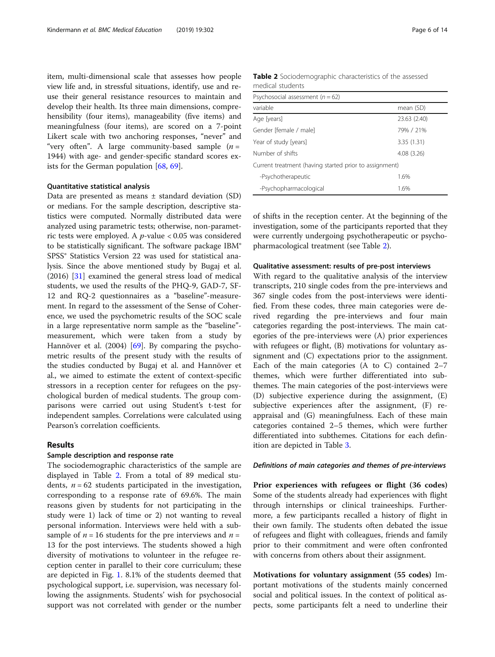item, multi-dimensional scale that assesses how people view life and, in stressful situations, identify, use and reuse their general resistance resources to maintain and develop their health. Its three main dimensions, comprehensibility (four items), manageability (five items) and meaningfulness (four items), are scored on a 7-point Likert scale with two anchoring responses, "never" and "very often". A large community-based sample  $(n =$ 1944) with age- and gender-specific standard scores exists for the German population [[68,](#page-13-0) [69\]](#page-13-0).

#### Quantitative statistical analysis

Data are presented as means  $\pm$  standard deviation (SD) or medians. For the sample description, descriptive statistics were computed. Normally distributed data were analyzed using parametric tests; otherwise, non-parametric tests were employed. A  $p$ -value < 0.05 was considered to be statistically significant. The software package IBM® SPSS<sup>®</sup> Statistics Version 22 was used for statistical analysis. Since the above mentioned study by Bugaj et al. (2016) [[31](#page-12-0)] examined the general stress load of medical students, we used the results of the PHQ-9, GAD-7, SF-12 and RQ-2 questionnaires as a "baseline"-measurement. In regard to the assessment of the Sense of Coherence, we used the psychometric results of the SOC scale in a large representative norm sample as the "baseline" measurement, which were taken from a study by Hannöver et al. (2004) [[69\]](#page-13-0). By comparing the psychometric results of the present study with the results of the studies conducted by Bugaj et al. and Hannöver et al., we aimed to estimate the extent of context-specific stressors in a reception center for refugees on the psychological burden of medical students. The group comparisons were carried out using Student's t-test for independent samples. Correlations were calculated using Pearson's correlation coefficients.

## Results

#### Sample description and response rate

The sociodemographic characteristics of the sample are displayed in Table 2. From a total of 89 medical students,  $n = 62$  students participated in the investigation, corresponding to a response rate of 69.6%. The main reasons given by students for not participating in the study were 1) lack of time or 2) not wanting to reveal personal information. Interviews were held with a subsample of  $n = 16$  students for the pre interviews and  $n =$ 13 for the post interviews. The students showed a high diversity of motivations to volunteer in the refugee reception center in parallel to their core curriculum; these are depicted in Fig. [1](#page-6-0). 8.1% of the students deemed that psychological support, i.e. supervision, was necessary following the assignments. Students' wish for psychosocial support was not correlated with gender or the number

Table 2 Sociodemographic characteristics of the assessed medical students

| Psychosocial assessment ( $n = 62$ )                   |              |  |  |  |
|--------------------------------------------------------|--------------|--|--|--|
| variable                                               | mean (SD)    |  |  |  |
| Age [years]                                            | 23.63 (2.40) |  |  |  |
| Gender [female / male]                                 | 79% / 21%    |  |  |  |
| Year of study [years]                                  | 3.35(1.31)   |  |  |  |
| Number of shifts                                       | 4.08(3.26)   |  |  |  |
| Current treatment (having started prior to assignment) |              |  |  |  |
| -Psychotherapeutic                                     | 1.6%         |  |  |  |
| -Psychopharmacological                                 | 1.6%         |  |  |  |

of shifts in the reception center. At the beginning of the investigation, some of the participants reported that they were currently undergoing psychotherapeutic or psychopharmacological treatment (see Table 2).

#### Qualitative assessment: results of pre-post interviews

With regard to the qualitative analysis of the interview transcripts, 210 single codes from the pre-interviews and 367 single codes from the post-interviews were identified. From these codes, three main categories were derived regarding the pre-interviews and four main categories regarding the post-interviews. The main categories of the pre-interviews were (A) prior experiences with refugees or flight, (B) motivations for voluntary assignment and (C) expectations prior to the assignment. Each of the main categories  $(A \text{ to } C)$  contained 2–7 themes, which were further differentiated into subthemes. The main categories of the post-interviews were (D) subjective experience during the assignment, (E) subjective experiences after the assignment, (F) reappraisal and (G) meaningfulness. Each of these main categories contained 2–5 themes, which were further differentiated into subthemes. Citations for each definition are depicted in Table [3](#page-7-0).

#### Definitions of main categories and themes of pre-interviews

Prior experiences with refugees or flight (36 codes) Some of the students already had experiences with flight through internships or clinical traineeships. Furthermore, a few participants recalled a history of flight in their own family. The students often debated the issue of refugees and flight with colleagues, friends and family prior to their commitment and were often confronted with concerns from others about their assignment.

Motivations for voluntary assignment (55 codes) Important motivations of the students mainly concerned social and political issues. In the context of political aspects, some participants felt a need to underline their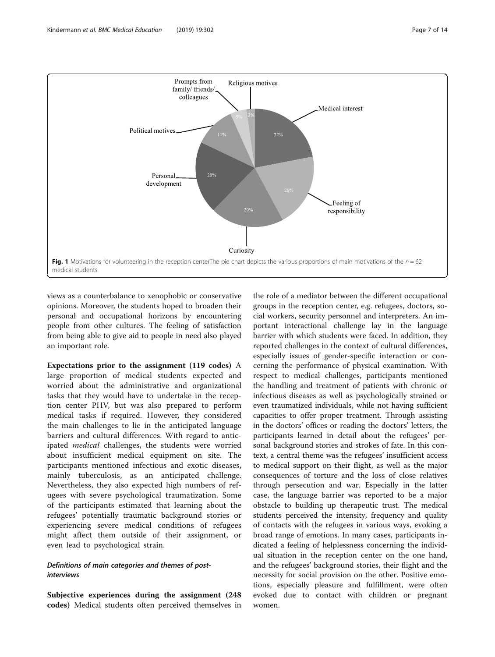<span id="page-6-0"></span>

views as a counterbalance to xenophobic or conservative opinions. Moreover, the students hoped to broaden their personal and occupational horizons by encountering people from other cultures. The feeling of satisfaction from being able to give aid to people in need also played an important role.

Expectations prior to the assignment (119 codes) A large proportion of medical students expected and worried about the administrative and organizational tasks that they would have to undertake in the reception center PHV, but was also prepared to perform medical tasks if required. However, they considered the main challenges to lie in the anticipated language barriers and cultural differences. With regard to anticipated medical challenges, the students were worried about insufficient medical equipment on site. The participants mentioned infectious and exotic diseases, mainly tuberculosis, as an anticipated challenge. Nevertheless, they also expected high numbers of refugees with severe psychological traumatization. Some of the participants estimated that learning about the refugees' potentially traumatic background stories or experiencing severe medical conditions of refugees might affect them outside of their assignment, or even lead to psychological strain.

# Definitions of main categories and themes of postinterviews

Subjective experiences during the assignment (248 codes) Medical students often perceived themselves in

the role of a mediator between the different occupational groups in the reception center, e.g. refugees, doctors, social workers, security personnel and interpreters. An important interactional challenge lay in the language barrier with which students were faced. In addition, they reported challenges in the context of cultural differences, especially issues of gender-specific interaction or concerning the performance of physical examination. With respect to medical challenges, participants mentioned the handling and treatment of patients with chronic or infectious diseases as well as psychologically strained or even traumatized individuals, while not having sufficient capacities to offer proper treatment. Through assisting in the doctors' offices or reading the doctors' letters, the participants learned in detail about the refugees' personal background stories and strokes of fate. In this context, a central theme was the refugees' insufficient access to medical support on their flight, as well as the major consequences of torture and the loss of close relatives through persecution and war. Especially in the latter case, the language barrier was reported to be a major obstacle to building up therapeutic trust. The medical students perceived the intensity, frequency and quality of contacts with the refugees in various ways, evoking a broad range of emotions. In many cases, participants indicated a feeling of helplessness concerning the individual situation in the reception center on the one hand, and the refugees' background stories, their flight and the necessity for social provision on the other. Positive emotions, especially pleasure and fulfillment, were often evoked due to contact with children or pregnant women.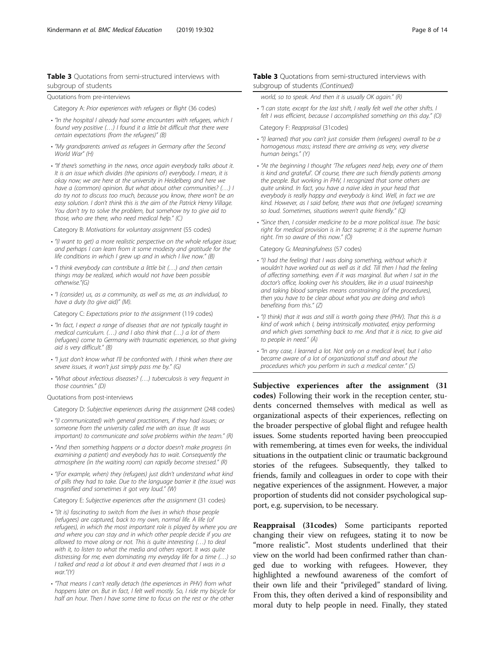#### <span id="page-7-0"></span>Table 3 Quotations from semi-structured interviews with subgroup of students

Quotations from pre-interviews

Category A: Prior experiences with refugees or flight (36 codes)

- "In the hospital I already had some encounters with refugees, which I found very positive (…) I found it a little bit difficult that there were certain expectations (from the refugees)" (B)
- "My grandparents arrived as refugees in Germany after the Second World War" (H)
- "If there's something in the news, once again everybody talks about it. It is an issue which divides (the opinions of) everybody. I mean, it is okay now; we are here at the university in Heidelberg and here we have a (common) opinion. But what about other communities? (…) I do try not to discuss too much, because you know, there won't be an easy solution. I don't think this is the aim of the Patrick Henry Village. You don't try to solve the problem, but somehow try to give aid to those, who are there, who need medical help." (C)

Category B: Motivations for voluntary assignment (55 codes)

- "(I want to get) a more realistic perspective on the whole refugee issue; and perhaps I can learn from it some modesty and gratitude for the life conditions in which I grew up and in which I live now." (B)
- "I think everybody can contribute a little bit (…) and then certain things may be realized, which would not have been possible otherwise."(G)
- "I (consider) us, as a community, as well as me, as an individual, to have a duty (to give aid)" (M).

Category C: Expectations prior to the assignment (119 codes)

- "In fact, I expect a range of diseases that are not typically taught in medical curriculum. (…) and I also think that (…) a lot of them (refugees) come to Germany with traumatic experiences, so that giving aid is very difficult." (B)
- "I just don't know what I'll be confronted with. I think when there are severe issues, it won't just simply pass me by." (G)
- "What about infectious diseases? (…) tuberculosis is very frequent in those countries." (D)

#### Quotations from post-interviews

Category D: Subjective experiences during the assignment (248 codes)

- "(I communicated) with general practitioners, if they had issues; or someone from the university called me with an issue. (It was important) to communicate and solve problems within the team." (R)
- "And then something happens or a doctor doesn't make progress (in examining a patient) and everybody has to wait. Consequently the atmosphere (in the waiting room) can rapidly become stressed." (R)
- "(For example, when) they (refugees) just didn't understand what kind of pills they had to take. Due to the language barrier it (the issue) was magnified and sometimes it got very loud." (W)
- Category E: Subjective experiences after the assignment (31 codes)
- "(It is) fascinating to switch from the lives in which those people (refugees) are captured, back to my own, normal life. A life (of refugees), in which the most important role is played by where you are and where you can stay and in which other people decide if you are allowed to move along or not. This is quite interesting (…) to deal with it, to listen to what the media and others report. It was quite distressing for me, even dominating my everyday life for a time (…) so I talked and read a lot about it and even dreamed that I was in a war."(Y)
- "That means I can't really detach (the experiences in PHV) from what happens later on. But in fact, I felt well mostly. So, I ride my bicycle for half an hour. Then I have some time to focus on the rest or the other

## Table 3 Quotations from semi-structured interviews with subgroup of students (Continued)

world, so to speak. And then it is usually OK again." (R)

• "I can state, except for the last shift, I really felt well the other shifts. I felt I was efficient, because I accomplished something on this day." (O)

Category F: Reappraisal (31codes)

- "(I learned) that you can't just consider them (refugees) overall to be a homogenous mass; instead there are arriving as very, very diverse human beings." (Y)
- "At the beginning I thought 'The refugees need help, every one of them is kind and grateful'. Of course, there are such friendly patients among the people. But working in PHV, I recognized that some others are quite unkind. In fact, you have a naive idea in your head that everybody is really happy and everybody is kind. Well, in fact we are kind. However, as I said before, there was that one (refugee) screaming so loud. Sometimes, situations weren't quite friendly." (Q)
- "Since then, I consider medicine to be a more political issue. The basic right for medical provision is in fact supreme; it is the supreme human right. I'm so aware of this now." (Ö)

#### Category G: Meaningfulness (57 codes)

- "(I had the feeling) that I was doing something, without which it wouldn't have worked out as well as it did. Till then I had the feeling of affecting something, even if it was marginal. But when I sat in the doctor's office, looking over his shoulders, like in a usual traineeship and taking blood samples means constraining (of the procedures), then you have to be clear about what you are doing and who's benefiting from this." (Z)
- "(I think) that it was and still is worth going there (PHV). That this is a kind of work which I, being intrinsically motivated, enjoy performing and which gives something back to me. And that it is nice, to give aid to people in need." (Ä)
- "In any case, I learned a lot. Not only on a medical level, but I also became aware of a lot of organizational stuff and about the procedures which you perform in such a medical center." (S)

Subjective experiences after the assignment (31 codes) Following their work in the reception center, students concerned themselves with medical as well as organizational aspects of their experiences, reflecting on the broader perspective of global flight and refugee health issues. Some students reported having been preoccupied with remembering, at times even for weeks, the individual situations in the outpatient clinic or traumatic background stories of the refugees. Subsequently, they talked to friends, family and colleagues in order to cope with their negative experiences of the assignment. However, a major proportion of students did not consider psychological support, e.g. supervision, to be necessary.

Reappraisal (31codes) Some participants reported changing their view on refugees, stating it to now be "more realistic". Most students underlined that their view on the world had been confirmed rather than changed due to working with refugees. However, they highlighted a newfound awareness of the comfort of their own life and their "privileged" standard of living. From this, they often derived a kind of responsibility and moral duty to help people in need. Finally, they stated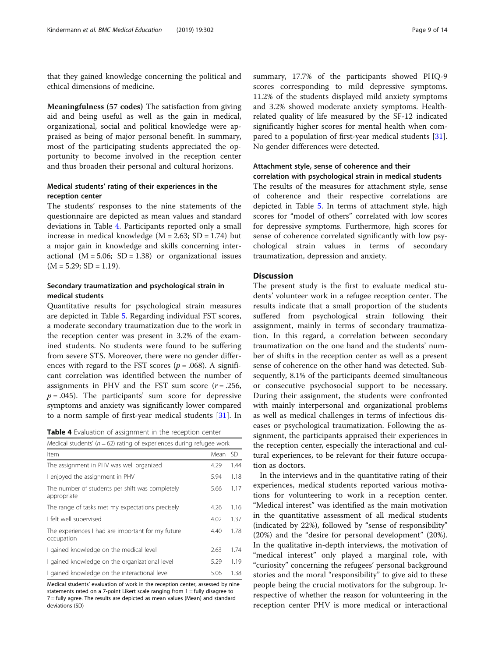that they gained knowledge concerning the political and ethical dimensions of medicine.

Meaningfulness (57 codes) The satisfaction from giving aid and being useful as well as the gain in medical, organizational, social and political knowledge were appraised as being of major personal benefit. In summary, most of the participating students appreciated the opportunity to become involved in the reception center and thus broaden their personal and cultural horizons.

# Medical students' rating of their experiences in the reception center

The students' responses to the nine statements of the questionnaire are depicted as mean values and standard deviations in Table 4. Participants reported only a small increase in medical knowledge  $(M = 2.63; SD = 1.74)$  but a major gain in knowledge and skills concerning interactional  $(M = 5.06; SD = 1.38)$  or organizational issues  $(M = 5.29; SD = 1.19).$ 

# Secondary traumatization and psychological strain in medical students

Quantitative results for psychological strain measures are depicted in Table [5](#page-9-0). Regarding individual FST scores, a moderate secondary traumatization due to the work in the reception center was present in 3.2% of the examined students. No students were found to be suffering from severe STS. Moreover, there were no gender differences with regard to the FST scores ( $p = .068$ ). A significant correlation was identified between the number of assignments in PHV and the FST sum score  $(r = .256, )$  $p = .045$ ). The participants' sum score for depressive symptoms and anxiety was significantly lower compared to a norm sample of first-year medical students [\[31\]](#page-12-0). In

Table 4 Evaluation of assignment in the reception center

| Medical students' ( $n = 62$ ) rating of experiences during refugee work |         |      |  |  |  |  |
|--------------------------------------------------------------------------|---------|------|--|--|--|--|
| Item                                                                     | Mean SD |      |  |  |  |  |
| The assignment in PHV was well organized                                 | 4.29    | 1.44 |  |  |  |  |
| I enjoyed the assignment in PHV                                          | 5.94    | 1.18 |  |  |  |  |
| The number of students per shift was completely<br>appropriate           | 5.66    | 1.17 |  |  |  |  |
| The range of tasks met my expectations precisely                         | 4.26    | 1.16 |  |  |  |  |
| I felt well supervised                                                   | 4.02    | 1.37 |  |  |  |  |
| The experiences I had are important for my future<br>occupation          | 4.40    | 1.78 |  |  |  |  |
| I gained knowledge on the medical level                                  | 2.63    | 1.74 |  |  |  |  |
| I gained knowledge on the organizational level                           | 5.29    | 1.19 |  |  |  |  |
| I gained knowledge on the interactional level                            | 5.06    | 1.38 |  |  |  |  |
| .                                                                        |         |      |  |  |  |  |

Medical students' evaluation of work in the reception center, assessed by nine statements rated on a 7-point Likert scale ranging from 1 = fully disagree to 7 = fully agree. The results are depicted as mean values (Mean) and standard deviations (SD)

summary, 17.7% of the participants showed PHQ-9 scores corresponding to mild depressive symptoms. 11.2% of the students displayed mild anxiety symptoms and 3.2% showed moderate anxiety symptoms. Healthrelated quality of life measured by the SF-12 indicated significantly higher scores for mental health when compared to a population of first-year medical students [\[31](#page-12-0)]. No gender differences were detected.

# Attachment style, sense of coherence and their correlation with psychological strain in medical students

The results of the measures for attachment style, sense of coherence and their respective correlations are depicted in Table [5.](#page-9-0) In terms of attachment style, high scores for "model of others" correlated with low scores for depressive symptoms. Furthermore, high scores for sense of coherence correlated significantly with low psychological strain values in terms of secondary traumatization, depression and anxiety.

# **Discussion**

The present study is the first to evaluate medical students' volunteer work in a refugee reception center. The results indicate that a small proportion of the students suffered from psychological strain following their assignment, mainly in terms of secondary traumatization. In this regard, a correlation between secondary traumatization on the one hand and the students' number of shifts in the reception center as well as a present sense of coherence on the other hand was detected. Subsequently, 8.1% of the participants deemed simultaneous or consecutive psychosocial support to be necessary. During their assignment, the students were confronted with mainly interpersonal and organizational problems as well as medical challenges in terms of infectious diseases or psychological traumatization. Following the assignment, the participants appraised their experiences in the reception center, especially the interactional and cultural experiences, to be relevant for their future occupation as doctors.

In the interviews and in the quantitative rating of their experiences, medical students reported various motivations for volunteering to work in a reception center. "Medical interest" was identified as the main motivation in the quantitative assessment of all medical students (indicated by 22%), followed by "sense of responsibility" (20%) and the "desire for personal development" (20%). In the qualitative in-depth interviews, the motivation of "medical interest" only played a marginal role, with "curiosity" concerning the refugees' personal background stories and the moral "responsibility" to give aid to these people being the crucial motivators for the subgroup. Irrespective of whether the reason for volunteering in the reception center PHV is more medical or interactional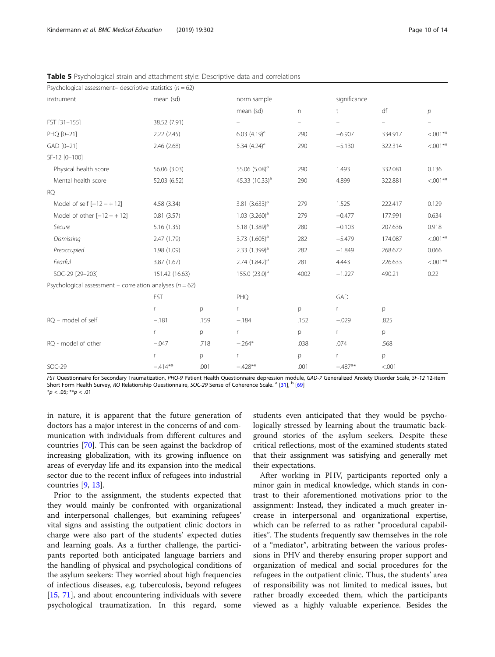<span id="page-9-0"></span>

| <b>Table 5</b> Psychological strain and attachment style: Descriptive data and correlations |
|---------------------------------------------------------------------------------------------|
|---------------------------------------------------------------------------------------------|

| Psychological assessment- descriptive statistics ( $n = 62$ ) |                          |      |                    |                   |           |                          |                          |
|---------------------------------------------------------------|--------------------------|------|--------------------|-------------------|-----------|--------------------------|--------------------------|
| instrument                                                    | mean (sd)<br>norm sample |      |                    | significance      |           |                          |                          |
|                                                               |                          |      | mean (sd)          | n                 | t         | df                       | $\overline{p}$           |
| FST [31-155]                                                  | 38.52 (7.91)             |      |                    | $\qquad \qquad -$ | ÷         | $\overline{\phantom{m}}$ | $\overline{\phantom{0}}$ |
| PHQ [0-21]                                                    | 2.22(2.45)               |      | 6.03 $(4.19)^a$    | 290               | $-6.907$  | 334.917                  | $< 0.001$ **             |
| GAD [0-21]                                                    | 2.46(2.68)               |      | 5.34 $(4.24)^a$    | 290               | $-5.130$  | 322.314                  | $< 0.01**$               |
| SF-12 [0-100]                                                 |                          |      |                    |                   |           |                          |                          |
| Physical health score                                         | 56.06 (3.03)             |      | 55.06 $(5.08)^a$   | 290               | 1.493     | 332.081                  | 0.136                    |
| Mental health score                                           | 52.03 (6.52)             |      | 45.33 $(10.33)^a$  | 290               | 4.899     | 322.881                  | $< 0.001$ **             |
| <b>RQ</b>                                                     |                          |      |                    |                   |           |                          |                          |
| Model of self $[-12 - +12]$                                   | 4.58 (3.34)              |      | 3.81 $(3.633)^a$   | 279               | 1.525     | 222.417                  | 0.129                    |
| Model of other $[-12 - +12]$                                  | 0.81(3.57)               |      | $1.03$ $(3.260)^a$ | 279               | $-0.477$  | 177.991                  | 0.634                    |
| Secure                                                        | 5.16(1.35)               |      | 5.18 $(1.389)^a$   | 280               | $-0.103$  | 207.636                  | 0.918                    |
| Dismissing                                                    | 2.47 (1.79)              |      | 3.73 $(1.605)^a$   | 282               | $-5.479$  | 174.087                  | $< 0.01**$               |
| Preoccupied                                                   | 1.98 (1.09)              |      | 2.33 $(1.399)^a$   | 282               | $-1.849$  | 268.672                  | 0.066                    |
| Fearful                                                       | 3.87(1.67)               |      | 2.74 $(1.842)^a$   | 281               | 4.443     | 226.633                  | $< 0.01**$               |
| SOC-29 [29-203]                                               | 151.42 (16.63)           |      | 155.0 $(23.0)^b$   | 4002              | $-1.227$  | 490.21                   | 0.22                     |
| Psychological assessment – correlation analyses ( $n = 62$ )  |                          |      |                    |                   |           |                          |                          |
|                                                               | <b>FST</b>               |      | PHQ                |                   | GAD       |                          |                          |
|                                                               | $\mathsf r$              | p    | $\mathsf{r}$       | p                 | r         | p                        |                          |
| RQ - model of self                                            | $-.181$                  | .159 | $-.184$            | .152              | $-.029$   | .825                     |                          |
|                                                               | r                        | p    | r                  | p                 | r         | p                        |                          |
| RQ - model of other                                           | $-.047$                  | .718 | $-.264*$           | .038              | .074      | .568                     |                          |
|                                                               | r                        | p    | $\mathsf{r}$       | p                 | r         | p                        |                          |
| $SOC-29$                                                      | $-.414**$                | .001 | $-.428**$          | .001              | $-.487**$ | < .001                   |                          |

FST Questionnaire for Secondary Traumatization, PHQ-9 Patient Health Questionnaire depression module, GAD-7 Generalized Anxiety Disorder Scale, SF-12 12-item Short Form Health Survey, RQ Relationship Questionnaire, SOC-29 Sense of Coherence Scale. <sup>a</sup> [[31\]](#page-12-0), <sup>b</sup> [\[69\]](#page-13-0)

 $*p < .05; **p < .01$ 

in nature, it is apparent that the future generation of doctors has a major interest in the concerns of and communication with individuals from different cultures and countries [\[70\]](#page-13-0). This can be seen against the backdrop of increasing globalization, with its growing influence on areas of everyday life and its expansion into the medical sector due to the recent influx of refugees into industrial countries [[9,](#page-12-0) [13](#page-12-0)].

Prior to the assignment, the students expected that they would mainly be confronted with organizational and interpersonal challenges, but examining refugees' vital signs and assisting the outpatient clinic doctors in charge were also part of the students' expected duties and learning goals. As a further challenge, the participants reported both anticipated language barriers and the handling of physical and psychological conditions of the asylum seekers: They worried about high frequencies of infectious diseases, e.g. tuberculosis, beyond refugees [[15,](#page-12-0) [71](#page-13-0)], and about encountering individuals with severe psychological traumatization. In this regard, some

students even anticipated that they would be psychologically stressed by learning about the traumatic background stories of the asylum seekers. Despite these critical reflections, most of the examined students stated that their assignment was satisfying and generally met their expectations.

After working in PHV, participants reported only a minor gain in medical knowledge, which stands in contrast to their aforementioned motivations prior to the assignment: Instead, they indicated a much greater increase in interpersonal and organizational expertise, which can be referred to as rather "procedural capabilities". The students frequently saw themselves in the role of a "mediator", arbitrating between the various professions in PHV and thereby ensuring proper support and organization of medical and social procedures for the refugees in the outpatient clinic. Thus, the students' area of responsibility was not limited to medical issues, but rather broadly exceeded them, which the participants viewed as a highly valuable experience. Besides the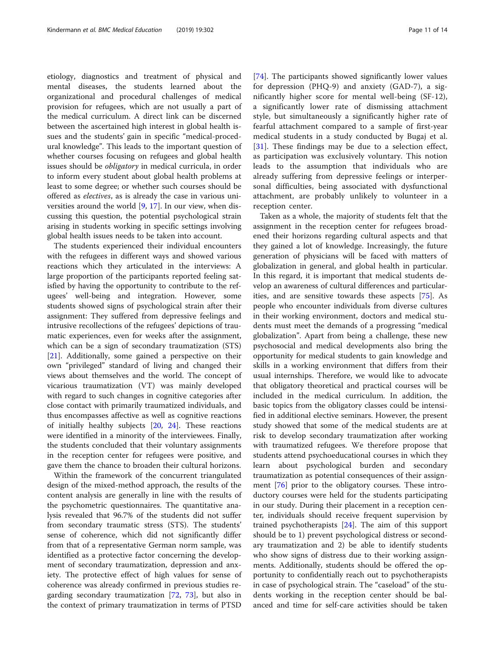etiology, diagnostics and treatment of physical and mental diseases, the students learned about the organizational and procedural challenges of medical provision for refugees, which are not usually a part of the medical curriculum. A direct link can be discerned between the ascertained high interest in global health issues and the students' gain in specific "medical-procedural knowledge". This leads to the important question of whether courses focusing on refugees and global health issues should be obligatory in medical curricula, in order to inform every student about global health problems at least to some degree; or whether such courses should be offered as electives, as is already the case in various universities around the world [[9,](#page-12-0) [17\]](#page-12-0). In our view, when discussing this question, the potential psychological strain arising in students working in specific settings involving global health issues needs to be taken into account.

The students experienced their individual encounters with the refugees in different ways and showed various reactions which they articulated in the interviews: A large proportion of the participants reported feeling satisfied by having the opportunity to contribute to the refugees' well-being and integration. However, some students showed signs of psychological strain after their assignment: They suffered from depressive feelings and intrusive recollections of the refugees' depictions of traumatic experiences, even for weeks after the assignment, which can be a sign of secondary traumatization (STS) [[21\]](#page-12-0). Additionally, some gained a perspective on their own "privileged" standard of living and changed their views about themselves and the world. The concept of vicarious traumatization (VT) was mainly developed with regard to such changes in cognitive categories after close contact with primarily traumatized individuals, and thus encompasses affective as well as cognitive reactions of initially healthy subjects [\[20](#page-12-0), [24\]](#page-12-0). These reactions were identified in a minority of the interviewees. Finally, the students concluded that their voluntary assignments in the reception center for refugees were positive, and gave them the chance to broaden their cultural horizons.

Within the framework of the concurrent triangulated design of the mixed-method approach, the results of the content analysis are generally in line with the results of the psychometric questionnaires. The quantitative analysis revealed that 96.7% of the students did not suffer from secondary traumatic stress (STS). The students' sense of coherence, which did not significantly differ from that of a representative German norm sample, was identified as a protective factor concerning the development of secondary traumatization, depression and anxiety. The protective effect of high values for sense of coherence was already confirmed in previous studies regarding secondary traumatization [\[72](#page-13-0), [73\]](#page-13-0), but also in the context of primary traumatization in terms of PTSD

[[74\]](#page-13-0). The participants showed significantly lower values for depression (PHQ-9) and anxiety (GAD-7), a significantly higher score for mental well-being (SF-12), a significantly lower rate of dismissing attachment style, but simultaneously a significantly higher rate of fearful attachment compared to a sample of first-year medical students in a study conducted by Bugaj et al. [[31\]](#page-12-0). These findings may be due to a selection effect, as participation was exclusively voluntary. This notion leads to the assumption that individuals who are already suffering from depressive feelings or interpersonal difficulties, being associated with dysfunctional attachment, are probably unlikely to volunteer in a reception center.

Taken as a whole, the majority of students felt that the assignment in the reception center for refugees broadened their horizons regarding cultural aspects and that they gained a lot of knowledge. Increasingly, the future generation of physicians will be faced with matters of globalization in general, and global health in particular. In this regard, it is important that medical students develop an awareness of cultural differences and particularities, and are sensitive towards these aspects [\[75](#page-13-0)]. As people who encounter individuals from diverse cultures in their working environment, doctors and medical students must meet the demands of a progressing "medical globalization". Apart from being a challenge, these new psychosocial and medical developments also bring the opportunity for medical students to gain knowledge and skills in a working environment that differs from their usual internships. Therefore, we would like to advocate that obligatory theoretical and practical courses will be included in the medical curriculum. In addition, the basic topics from the obligatory classes could be intensified in additional elective seminars. However, the present study showed that some of the medical students are at risk to develop secondary traumatization after working with traumatized refugees. We therefore propose that students attend psychoeducational courses in which they learn about psychological burden and secondary traumatization as potential consequences of their assignment [\[76](#page-13-0)] prior to the obligatory courses. These introductory courses were held for the students participating in our study. During their placement in a reception center, individuals should receive frequent supervision by trained psychotherapists [\[24\]](#page-12-0). The aim of this support should be to 1) prevent psychological distress or secondary traumatization and 2) be able to identify students who show signs of distress due to their working assignments. Additionally, students should be offered the opportunity to confidentially reach out to psychotherapists in case of psychological strain. The "caseload" of the students working in the reception center should be balanced and time for self-care activities should be taken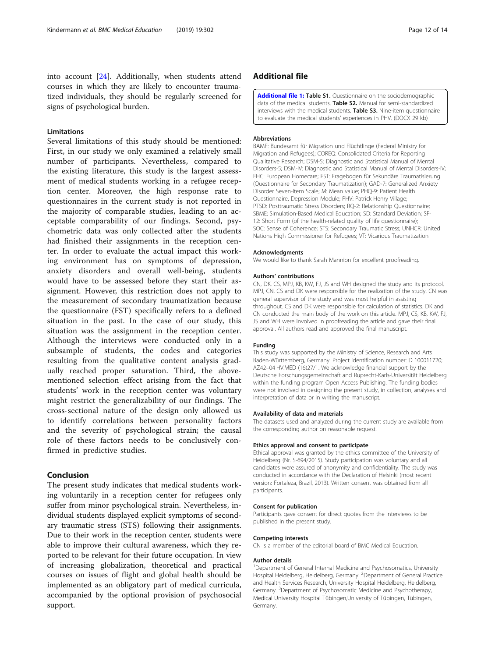<span id="page-11-0"></span>into account [\[24](#page-12-0)]. Additionally, when students attend courses in which they are likely to encounter traumatized individuals, they should be regularly screened for signs of psychological burden.

# Limitations

Several limitations of this study should be mentioned: First, in our study we only examined a relatively small number of participants. Nevertheless, compared to the existing literature, this study is the largest assessment of medical students working in a refugee reception center. Moreover, the high response rate to questionnaires in the current study is not reported in the majority of comparable studies, leading to an acceptable comparability of our findings. Second, psychometric data was only collected after the students had finished their assignments in the reception center. In order to evaluate the actual impact this working environment has on symptoms of depression, anxiety disorders and overall well-being, students would have to be assessed before they start their assignment. However, this restriction does not apply to the measurement of secondary traumatization because the questionnaire (FST) specifically refers to a defined situation in the past. In the case of our study, this situation was the assignment in the reception center. Although the interviews were conducted only in a subsample of students, the codes and categories resulting from the qualitative content analysis gradually reached proper saturation. Third, the abovementioned selection effect arising from the fact that students' work in the reception center was voluntary might restrict the generalizability of our findings. The cross-sectional nature of the design only allowed us to identify correlations between personality factors and the severity of psychological strain; the causal role of these factors needs to be conclusively confirmed in predictive studies.

# Conclusion

The present study indicates that medical students working voluntarily in a reception center for refugees only suffer from minor psychological strain. Nevertheless, individual students displayed explicit symptoms of secondary traumatic stress (STS) following their assignments. Due to their work in the reception center, students were able to improve their cultural awareness, which they reported to be relevant for their future occupation. In view of increasing globalization, theoretical and practical courses on issues of flight and global health should be implemented as an obligatory part of medical curricula, accompanied by the optional provision of psychosocial support.

# Additional file

[Additional file 1:](https://doi.org/10.1186/s12909-019-1730-8) Table S1. Questionnaire on the sociodemographic data of the medical students. Table S2. Manual for semi-standardized interviews with the medical students. Table S3. Nine-item questionnaire to evaluate the medical students' experiences in PHV. (DOCX 29 kb)

#### Abbreviations

BAMF: Bundesamt für Migration und Flüchtlinge (Federal Ministry for Migration and Refugees); COREQ: Consolidated Criteria for Reporting Qualitative Research; DSM-5: Diagnostic and Statistical Manual of Mental Disorders-5; DSM-IV: Diagnostic and Statistical Manual of Mental Disorders-IV; EHC: European Homecare; FST: Fragebogen für Sekundäre Traumatisierung (Questionnaire for Secondary Traumatization); GAD-7: Generalized Anxiety Disorder Seven-Item Scale; M: Mean value; PHQ-9: Patient Health Questionnaire, Depression Module; PHV: Patrick Henry Village; PTSD: Posttraumatic Stress Disorders; RQ-2: Relationship Questionnaire; SBME: Simulation-Based Medical Education; SD: Standard Deviation; SF-12: Short Form (of the health-related quality of life questionnaire); SOC: Sense of Coherence; STS: Secondary Traumatic Stress; UNHCR: United Nations High Commissioner for Refugees; VT: Vicarious Traumatization

#### Acknowledgments

We would like to thank Sarah Mannion for excellent proofreading.

#### Authors' contributions

CN, DK, CS, MPJ, KB, KW, FJ, JS and WH designed the study and its protocol. MPJ, CN, CS and DK were responsible for the realization of the study. CN was general supervisor of the study and was most helpful in assisting throughout. CS and DK were responsible for calculation of statistics. DK and CN conducted the main body of the work on this article. MPJ, CS, KB, KW, FJ, JS and WH were involved in proofreading the article and gave their final approval. All authors read and approved the final manuscript.

#### Funding

This study was supported by the Ministry of Science, Research and Arts Baden-Württemberg, Germany. Project identification number: D 100011720; AZ42–04 HV.MED (16)27/1. We acknowledge financial support by the Deutsche Forschungsgemeinschaft and Ruprecht-Karls-Universität Heidelberg within the funding program Open Access Publishing. The funding bodies were not involved in designing the present study, in collection, analyses and interpretation of data or in writing the manuscript.

#### Availability of data and materials

The datasets used and analyzed during the current study are available from the corresponding author on reasonable request.

#### Ethics approval and consent to participate

Ethical approval was granted by the ethics committee of the University of Heidelberg (Nr. S-694/2015). Study participation was voluntary and all candidates were assured of anonymity and confidentiality. The study was conducted in accordance with the Declaration of Helsinki (most recent version: Fortaleza, Brazil, 2013). Written consent was obtained from all participants.

#### Consent for publication

Participants gave consent for direct quotes from the interviews to be published in the present study.

#### Competing interests

CN is a member of the editorial board of BMC Medical Education.

#### Author details

<sup>1</sup>Department of General Internal Medicine and Psychosomatics, University Hospital Heidelberg, Heidelberg, Germany. <sup>2</sup>Department of General Practice and Health Services Research, University Hospital Heidelberg, Heidelberg, Germany. <sup>3</sup>Department of Psychosomatic Medicine and Psychotherapy Medical University Hospital Tübingen,University of Tübingen, Tübingen, Germany.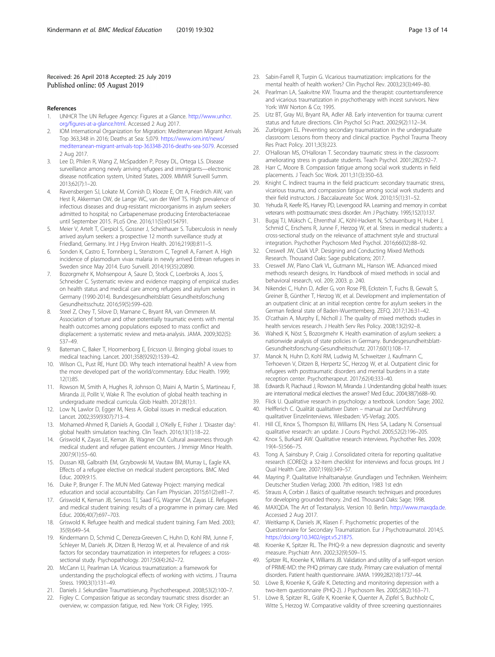#### <span id="page-12-0"></span>Received: 26 April 2018 Accepted: 25 July 2019 Published online: 05 August 2019

- References
- 1. UNHCR The UN Refugee Agency: Figures at a Glance. [http://www.unhcr.](http://www.unhcr.org/figures-at-a-glance.html) [org/figures-at-a-glance.html.](http://www.unhcr.org/figures-at-a-glance.html) Accessed 2 Aug 2017.
- 2. IOM International Organization for Migration: Mediterranean Migrant Arrivals Top 363,348 in 2016; Deaths at Sea: 5,079. [https://www.iom.int/news/](https://www.iom.int/news/mediterranean-migrant-arrivals-top-363348-2016-deaths-sea-5079) [mediterranean-migrant-arrivals-top-363348-2016-deaths-sea-5079](https://www.iom.int/news/mediterranean-migrant-arrivals-top-363348-2016-deaths-sea-5079). Accessed 2 Aug 2017.
- 3. Lee D, Philen R, Wang Z, McSpadden P, Posey DL, Ortega LS. Disease surveillance among newly arriving refugees and immigrants—electronic disease notification system, United States, 2009. MMWR Surveill Summ. 2013;62(7):1–20.
- 4. Ravensbergen SJ, Lokate M, Cornish D, Kloeze E, Ott A, Friedrich AW, van Hest R, Akkerman OW, de Lange WC, van der Werf TS. High prevalence of infectious diseases and drug-resistant microorganisms in asylum seekers admitted to hospital; no Carbapenemase producing Enterobacteriaceae until September 2015. PLoS One. 2016;11(5):e0154791.
- 5. Meier V, Artelt T, Cierpiol S, Gossner J, Scheithauer S. Tuberculosis in newly arrived asylum seekers: a prospective 12 month surveillance study at Friedland, Germany. Int J Hyg Environ Health. 2016;219(8):811–5.
- Sonden K, Castro E, Tornnberg L, Stenstrom C, Tegnell A, Farnert A. High incidence of plasmodium vivax malaria in newly arrived Eritrean refugees in Sweden since May 2014. Euro Surveill. 2014;19(35):20890.
- 7. Bozorgmehr K, Mohsenpour A, Saure D, Stock C, Loerbroks A, Joos S, Schneider C. Systematic review and evidence mapping of empirical studies on health status and medical care among refugees and asylum seekers in Germany (1990-2014). Bundesgesundheitsblatt Gesundheitsforschung Gesundheitsschutz. 2016;59(5):599–620.
- Steel Z, Chey T, Silove D, Marnane C, Bryant RA, van Ommeren M. Association of torture and other potentially traumatic events with mental health outcomes among populations exposed to mass conflict and displacement: a systematic review and meta-analysis. JAMA. 2009;302(5): 537–49.
- 9. Bateman C, Baker T, Hoornenborg E, Ericsson U. Bringing global issues to medical teaching. Lancet. 2001;358(9292):1539–42.
- 10. Wilson CL, Pust RE, Hunt DD. Why teach international health? A view from the more developed part of the world/commentary. Educ Health. 1999; 12(1):85.
- 11. Rowson M, Smith A, Hughes R, Johnson O, Maini A, Martin S, Martineau F, Miranda JJ, Pollit V, Wake R. The evolution of global health teaching in undergraduate medical curricula. Glob Health. 2012;8(1):1.
- 12. Low N, Lawlor D, Egger M, Ness A. Global issues in medical education. Lancet. 2002;359(9307):713–4.
- 13. Mohamed-Ahmed R, Daniels A, Goodall J, O'Kelly E, Fisher J. 'Disaster day': global health simulation teaching. Clin Teach. 2016;13(1):18–22.
- 14. Griswold K, Zayas LE, Kernan JB, Wagner CM. Cultural awareness through medical student and refugee patient encounters. J Immigr Minor Health. 2007;9(1):55–60.
- 15. Dussan KB, Galbraith EM, Grzybowski M, Vautaw BM, Murray L, Eagle KA. Effects of a refugee elective on medical student perceptions. BMC Med Educ. 2009;9:15.
- 16. Duke P, Brunger F. The MUN Med Gateway Project: marrying medical education and social accountability. Can Fam Physician. 2015;61(2):e81–7.
- 17. Griswold K, Kernan JB, Servoss TJ, Saad FG, Wagner CM, Zayas LE. Refugees and medical student training: results of a programme in primary care. Med Educ. 2006;40(7):697–703.
- 18. Griswold K. Refugee health and medical student training. Fam Med. 2003; 35(9):649–54.
- 19. Kindermann D, Schmid C, Derreza-Greeven C, Huhn D, Kohl RM, Junne F, Schleyer M, Daniels JK, Ditzen B, Herzog W, et al. Prevalence of and risk factors for secondary traumatization in interpreters for refugees: a crosssectional study. Psychopathology. 2017;50(4):262–72.
- 20. McCann LI, Pearlman LA. Vicarious traumatization: a framework for understanding the psychological effects of working with victims. J Trauma Stress. 1990;3(1):131–49.
- 21. Daniels J. Sekundäre Traumatisierung. Psychotherapeut. 2008;53(2):100–7.
- 22. Figley C. Compassion fatigue as secondary traumatic stress disorder: an overview, w: compassion fatigue, red. New York: CR Figley; 1995.
- 23. Sabin-Farrell R, Turpin G. Vicarious traumatization: implications for the mental health of health workers? Clin Psychol Rev. 2003;23(3):449–80.
- 24. Pearlman LA, Saakvitne KW. Trauma and the therapist: countertransference and vicarious traumatization in psychotherapy with incest survivors. New York: WW Norton & Co: 1995.
- 25. Litz BT, Gray MJ, Bryant RA, Adler AB. Early intervention for trauma: current status and future directions. Clin Psychol Sci Pract. 2002;9(2):112–34.
- 26. Zurbriggen EL. Preventing secondary traumatization in the undergraduate classroom: Lessons from theory and clinical practice. Psychol Trauma Theory Res Pract Policy. 2011;3(3):223.
- 27. O'Halloran MS, O'Halloran T. Secondary traumatic stress in the classroom: ameliorating stress in graduate students. Teach Psychol. 2001;28(2):92–7.
- 28. Harr C, Moore B. Compassion fatigue among social work students in field placements. J Teach Soc Work. 2011;31(3):350–63.
- 29. Knight C. Indirect trauma in the field practicum: secondary traumatic stress, vicarious trauma, and compassion fatigue among social work students and their field instructors. J Baccalaureate Soc Work. 2010;15(1):31–52.
- Yehuda R, Keefe RS, Harvey PD, Levengood RA. Learning and memory in combat veterans with posttraumatic stress disorder. Am J Psychiatry. 1995;152(1):137.
- 31. Bugaj TJ, Müksch C, Ehrenthal JC, Köhl-Hackert N, Schauenburg H, Huber J, Schmid C, Erschens R, Junne F, Herzog W, et al. Stress in medical students: a cross-sectional study on the relevance of attachment style and structural integration. Psychother Psychosom Med Psychol. 2016;66(02):88–92.
- 32. Creswell JW, Clark VLP. Designing and Conducting Mixed Methods Research. Thousand Oaks: Sage publications; 2017.
- 33. Creswell JW, Plano Clark VL, Gutmann ML, Hanson WE. Advanced mixed methods research designs. In: Handbook of mixed methods in social and behavioral research, vol. 209; 2003. p. 240.
- 34. Nikendei C, Huhn D, Adler G, von Rose PB, Eckstein T, Fuchs B, Gewalt S, Greiner B, Günther T, Herzog W, et al. Development and implementation of an outpatient clinic at an initial reception centre for asylum seekers in the German federal state of Baden-Wuerttemberg. ZEFQ. 2017;126:31–42.
- 35. O'cathain A, Murphy E, Nicholl J. The quality of mixed methods studies in health services research. J Health Serv Res Policy. 2008;13(2):92–8.
- 36. Wahedi K, Nöst S, Bozorgmehr K. Health examination of asylum seekers: a nationwide analysis of state policies in Germany. Bundesgesundheitsblatt-Gesundheitsforschung-Gesundheitsschutz. 2017;60(1):108–17.
- 37. Manok N, Huhn D, Kohl RM, Ludwig M, Schweitzer J, Kaufmann C, Terhoeven V, Ditzen B, Herpertz SC, Herzog W, et al. Outpatient clinic for refugees with posttraumatic disorders and mental burdens in a state reception center. Psychotherapeut. 2017;62(4):333–40.
- 38. Edwards R, Piachaud J, Rowson M, Miranda J. Understanding global health issues:
- are international medical electives the answer? Med Educ. 2004;38(7):688–90. 39. Flick U. Qualitative research in psychology: a textbook. London: Sage; 2002.
- 40. Helfferich C. Qualität qualitativer Daten manual zur Durchführung qualitativer Einzelinterviews. Wiesbaden: VS-Verlag; 2005.
- 41. Hill CE, Knox S, Thompson BJ, Williams EN, Hess SA, Ladany N. Consensual qualitative research: an update. J Couns Psychol. 2005;52(2):196–205.
- 42. Knox S, Burkard AW. Qualitative research interviews. Psychother Res. 2009; 19(4–5):566–75.
- 43. Tong A, Sainsbury P, Craig J. Consolidated criteria for reporting qualitative research (COREQ): a 32-item checklist for interviews and focus groups. Int J Qual Health Care. 2007;19(6):349–57.
- 44. Mayring P. Qualitative Inhaltsanalyse. Grundlagen und Techniken. Weinheim: Deutscher Studien Verlag; 2000. 7th edition, 1983 1st edn
- 45. Strauss A, Corbin J. Basics of qualitative research: techniques and procedures for developing grounded theory. 2nd ed. Thousand Oaks: Sage; 1998.
- 46. MAXQDA. The Art of Textanalysis. Version 10. Berlin. [http://www.maxqda.de.](http://www.maxqda.de) Accessed 2 Aug 2017.
- 47. Weitkamp K, Daniels JK, Klasen F. Psychometric properties of the Questionnaire for Secondary Traumatization. Eur J Psychotraumatol. 2014;5. [https://doi.org/10.3402/ejpt.v5.21875.](https://doi.org/10.3402/ejpt.v5.21875)
- 48. Kroenke K, Spitzer RL. The PHQ-9: a new depression diagnostic and severity measure. Psychiatr Ann. 2002;32(9):509–15.
- 49. Spitzer RL, Kroenke K, Williams JB. Validation and utility of a self-report version of PRIME-MD: the PHQ primary care study. Primary care evaluation of mental disorders. Patient health questionnaire. JAMA. 1999;282(18):1737–44.
- 50. Löwe B, Kroenke K, Gräfe K. Detecting and monitoring depression with a two-item questionnaire (PHQ-2). J Psychosom Res. 2005;58(2):163–71.
- 51. Löwe B, Spitzer RL, Gräfe K, Kroenke K, Quenter A, Zipfel S, Buchholz C, Witte S, Herzog W. Comparative validity of three screening questionnaires